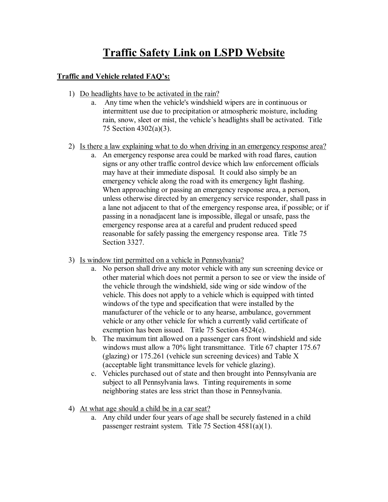## **Traffic Safety Link on LSPD Website**

## **Traffic and Vehicle related FAQ's:**

- 1) Do headlights have to be activated in the rain?
	- a. Any time when the vehicle's windshield wipers are in continuous or intermittent use due to precipitation or atmospheric moisture, including rain, snow, sleet or mist, the vehicle's headlights shall be activated. Title 75 Section 4302(a)(3).
- 2) Is there a law explaining what to do when driving in an emergency response area?
	- a. An emergency response area could be marked with road flares, caution signs or any other traffic control device which law enforcement officials may have at their immediate disposal. It could also simply be an emergency vehicle along the road with its emergency light flashing. When approaching or passing an emergency response area, a person, unless otherwise directed by an emergency service responder, shall pass in a lane not adjacent to that of the emergency response area, if possible; or if passing in a nonadjacent lane is impossible, illegal or unsafe, pass the emergency response area at a careful and prudent reduced speed reasonable for safely passing the emergency response area. Title 75 Section 3327.
- 3) Is window tint permitted on a vehicle in Pennsylvania?
	- a. No person shall drive any motor vehicle with any sun screening device or other material which does not permit a person to see or view the inside of the vehicle through the windshield, side wing or side window of the vehicle. This does not apply to a vehicle which is equipped with tinted windows of the type and specification that were installed by the manufacturer of the vehicle or to any hearse, ambulance, government vehicle or any other vehicle for which a currently valid certificate of exemption has been issued. Title 75 Section 4524(e).
	- b. The maximum tint allowed on a passenger cars front windshield and side windows must allow a 70% light transmittance. [Title 67](http://www.pacode.com/secure/data/067/067toc.html) chapter [175.67](http://www.pacode.com/secure/data/067/chapter175/s175.67.html) (glazing) or [175.261](http://www.pacode.com/secure/data/067/chapter175/subchapOtoc.html) (vehicle sun screening devices) and [Table X](http://www.pacode.com/secure/data/067/chapter175/subchapOtoc.html) (acceptable light transmittance levels for vehicle glazing).
	- c. Vehicles purchased out of state and then brought into Pennsylvania are subject to all Pennsylvania laws. Tinting requirements in some neighboring states are less strict than those in Pennsylvania.
- 4) At what age should a child be in a car seat?
	- a. Any child under four years of age shall be securely fastened in a child passenger restraint system. Title 75 Section 4581(a)(1).